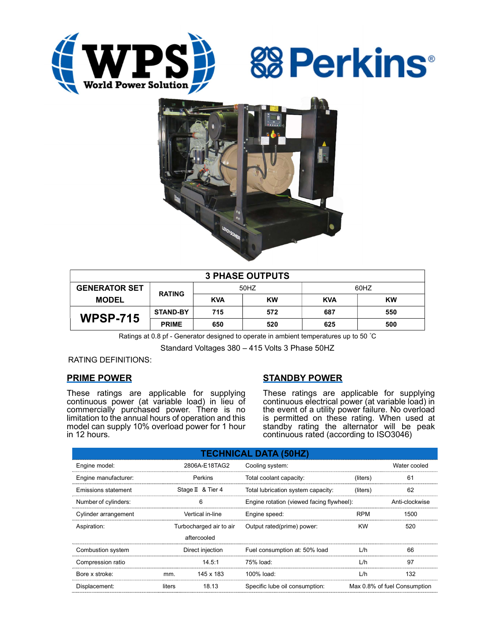





| <b>3 PHASE OUTPUTS</b> |                 |            |           |            |     |  |  |
|------------------------|-----------------|------------|-----------|------------|-----|--|--|
| <b>GENERATOR SET</b>   |                 | 50HZ       |           | 60HZ       |     |  |  |
| <b>MODEL</b>           | <b>RATING</b>   | <b>KVA</b> | <b>KW</b> | <b>KVA</b> | KW  |  |  |
| <b>WPSP-715</b>        | <b>STAND-BY</b> | 715        | 572       | 687        | 550 |  |  |
|                        | <b>PRIME</b>    | 650        | 520       | 625        | 500 |  |  |

Ratings at 0.8 pf - Generator designed to operate in ambient temperatures up to 50 °C

Standard Voltages 380 – 415 Volts 3 Phase 50HZ

RATING DEFINITIONS:

## PRIME POWER

These ratings are applicable for supplying continuous power (at variable load) in lieu of commercially purchased power. There is no limitation to the annual hours of operation and this model can supply 10% overload power for 1 hour in 12 hours.

# STANDBY POWER

These ratings are applicable for supplying continuous electrical power (at variable load) in the event of a utility power failure. No overload is permitted on these rating. When used at standby rating the alternator will be peak continuous rated (according to ISO3046)

| <b>TECHNICAL DATA (50HZ)</b> |                         |                   |                                           |                              |                |  |  |
|------------------------------|-------------------------|-------------------|-------------------------------------------|------------------------------|----------------|--|--|
| Engine model:                | 2806A-E18TAG2           |                   | Cooling system:                           | Water cooled                 |                |  |  |
| Engine manufacturer:         | Perkins                 |                   | Total coolant capacity:<br>(liters)       |                              | 61             |  |  |
| Emissions statement          |                         | Stage II & Tier 4 | Total lubrication system capacity:        | (liters)                     | 62             |  |  |
| Number of cylinders:         | 6                       |                   | Engine rotation (viewed facing flywheel): |                              | Anti-clockwise |  |  |
| Cylinder arrangement         | Vertical in-line        |                   | Engine speed:                             | <b>RPM</b>                   | 1500           |  |  |
| Aspiration:                  | Turbocharged air to air |                   | Output rated(prime) power:                | <b>KW</b>                    | 520            |  |  |
|                              |                         | aftercooled       |                                           |                              |                |  |  |
| Combustion system            | Direct injection        |                   | Fuel consumption at: 50% load             | L/h                          | 66             |  |  |
| Compression ratio            |                         | 14.5:1            | 75% load:                                 | L/h                          | 97             |  |  |
| Bore x stroke:               | mm.                     | 145 x 183         | 100% load:                                | L/h                          | 132            |  |  |
| Displacement:                | 18.13<br>liters         |                   | Specific lube oil consumption:            | Max 0.8% of fuel Consumption |                |  |  |